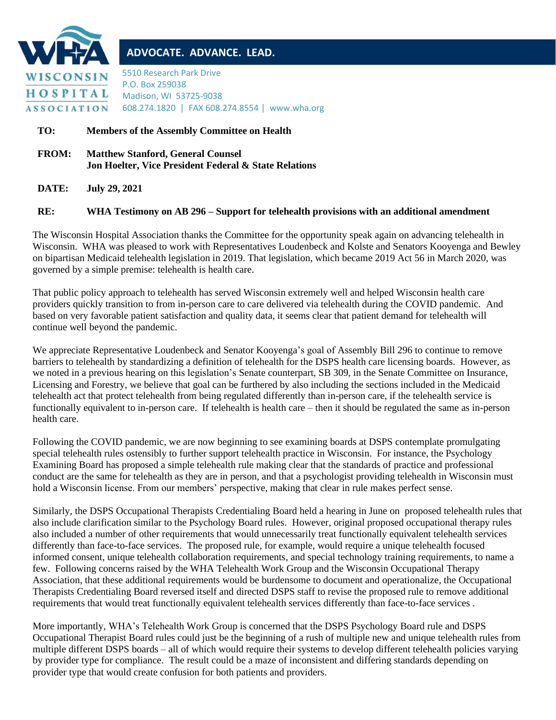

## **ADVOCATE. ADVANCE. LEAD.**

5510 Research Park Drive P.O. Box 259038 Madison, WI 53725-9038 608.274.1820 | FAX 608.274.8554 | www.wha.org

## **TO: Members of the Assembly Committee on Health**

**FROM: Matthew Stanford, General Counsel Jon Hoelter, Vice President Federal & State Relations**

**DATE: July 29, 2021**

## **RE: WHA Testimony on AB 296 – Support for telehealth provisions with an additional amendment**

The Wisconsin Hospital Association thanks the Committee for the opportunity speak again on advancing telehealth in Wisconsin. WHA was pleased to work with Representatives Loudenbeck and Kolste and Senators Kooyenga and Bewley on bipartisan Medicaid telehealth legislation in 2019. That legislation, which became 2019 Act 56 in March 2020, was governed by a simple premise: telehealth is health care.

That public policy approach to telehealth has served Wisconsin extremely well and helped Wisconsin health care providers quickly transition to from in-person care to care delivered via telehealth during the COVID pandemic. And based on very favorable patient satisfaction and quality data, it seems clear that patient demand for telehealth will continue well beyond the pandemic.

We appreciate Representative Loudenbeck and Senator Kooyenga's goal of Assembly Bill 296 to continue to remove barriers to telehealth by standardizing a definition of telehealth for the DSPS health care licensing boards. However, as we noted in a previous hearing on this legislation's Senate counterpart, SB 309, in the Senate Committee on Insurance, Licensing and Forestry, we believe that goal can be furthered by also including the sections included in the Medicaid telehealth act that protect telehealth from being regulated differently than in-person care, if the telehealth service is functionally equivalent to in-person care. If telehealth is health care – then it should be regulated the same as in-person health care.

Following the COVID pandemic, we are now beginning to see examining boards at DSPS contemplate promulgating special telehealth rules ostensibly to further support telehealth practice in Wisconsin. For instance, the Psychology Examining Board has proposed a simple telehealth rule making clear that the standards of practice and professional conduct are the same for telehealth as they are in person, and that a psychologist providing telehealth in Wisconsin must hold a Wisconsin license. From our members' perspective, making that clear in rule makes perfect sense.

Similarly, the DSPS Occupational Therapists Credentialing Board held a hearing in June on proposed telehealth rules that also include clarification similar to the Psychology Board rules. However, original proposed occupational therapy rules also included a number of other requirements that would unnecessarily treat functionally equivalent telehealth services differently than face-to-face services. The proposed rule, for example, would require a unique telehealth focused informed consent, unique telehealth collaboration requirements, and special technology training requirements, to name a few. Following concerns raised by the WHA Telehealth Work Group and the Wisconsin Occupational Therapy Association, that these additional requirements would be burdensome to document and operationalize, the Occupational Therapists Credentialing Board reversed itself and directed DSPS staff to revise the proposed rule to remove additional requirements that would treat functionally equivalent telehealth services differently than face-to-face services .

More importantly, WHA's Telehealth Work Group is concerned that the DSPS Psychology Board rule and DSPS Occupational Therapist Board rules could just be the beginning of a rush of multiple new and unique telehealth rules from multiple different DSPS boards – all of which would require their systems to develop different telehealth policies varying by provider type for compliance. The result could be a maze of inconsistent and differing standards depending on provider type that would create confusion for both patients and providers.